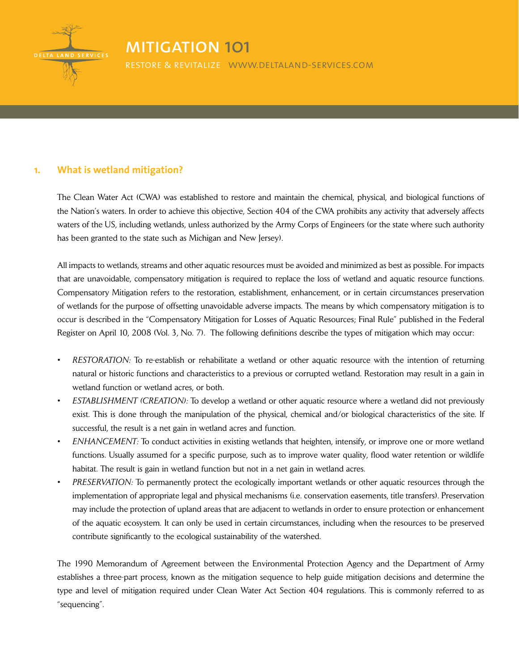

# mitigation 101

restore & revitalize www.deltaland-services.com

### **1. What is wetland mitigation?**

The Clean Water Act (CWA) was established to restore and maintain the chemical, physical, and biological functions of the Nation's waters. In order to achieve this objective, Section 404 of the CWA prohibits any activity that adversely affects waters of the US, including wetlands, unless authorized by the Army Corps of Engineers (or the state where such authority has been granted to the state such as Michigan and New Jersey).

All impacts to wetlands, streams and other aquatic resources must be avoided and minimized as best as possible. For impacts that are unavoidable, compensatory mitigation is required to replace the loss of wetland and aquatic resource functions. Compensatory Mitigation refers to the restoration, establishment, enhancement, or in certain circumstances preservation of wetlands for the purpose of offsetting unavoidable adverse impacts. The means by which compensatory mitigation is to occur is described in the "Compensatory Mitigation for Losses of Aquatic Resources; Final Rule" published in the Federal Register on April 10, 2008 (Vol. 3, No. 7). The following definitions describe the types of mitigation which may occur:

- *RESTORATION:* To re-establish or rehabilitate a wetland or other aquatic resource with the intention of returning natural or historic functions and characteristics to a previous or corrupted wetland. Restoration may result in a gain in wetland function or wetland acres, or both.
- *ESTABLISHMENT* (CREATION): To develop a wetland or other aquatic resource where a wetland did not previously exist. This is done through the manipulation of the physical, chemical and/or biological characteristics of the site. If successful, the result is a net gain in wetland acres and function.
- *ENHANCEMENT:* To conduct activities in existing wetlands that heighten, intensify, or improve one or more wetland functions. Usually assumed for a specific purpose, such as to improve water quality, flood water retention or wildlife habitat. The result is gain in wetland function but not in a net gain in wetland acres.
- *PRESERVATION:* To permanently protect the ecologically important wetlands or other aquatic resources through the implementation of appropriate legal and physical mechanisms (i.e. conservation easements, title transfers). Preservation may include the protection of upland areas that are adjacent to wetlands in order to ensure protection or enhancement of the aquatic ecosystem. It can only be used in certain circumstances, including when the resources to be preserved contribute significantly to the ecological sustainability of the watershed.

The 1990 Memorandum of Agreement between the Environmental Protection Agency and the Department of Army establishes a three-part process, known as the mitigation sequence to help guide mitigation decisions and determine the type and level of mitigation required under Clean Water Act Section 404 regulations. This is commonly referred to as "sequencing".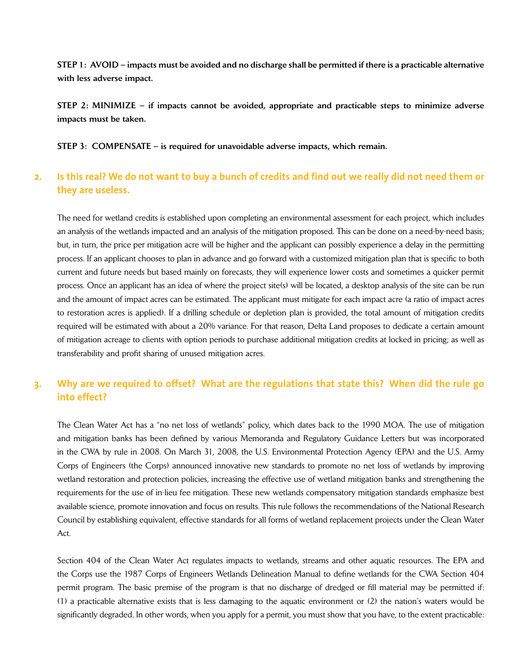STEP 1: AVOID – impacts must be avoided and no discharge shall be permitted if there is a practicable alternative with less adverse impact.

STEP 2: MINIMIZE – if impacts cannot be avoided, appropriate and practicable steps to minimize adverse impacts must be taken.

STEP 3: COMPENSATE – is required for unavoidable adverse impacts, which remain.

## 2. Is this real? We do not want to buy a bunch of credits and find out we really did not need them or **they are useless.**

The need for wetland credits is established upon completing an environmental assessment for each project, which includes an analysis of the wetlands impacted and an analysis of the mitigation proposed. This can be done on a need-by-need basis; but, in turn, the price per mitigation acre will be higher and the applicant can possibly experience a delay in the permitting process. If an applicant chooses to plan in advance and go forward with a customized mitigation plan that is specific to both current and future needs but based mainly on forecasts, they will experience lower costs and sometimes a quicker permit process. Once an applicant has an idea of where the project site(s) will be located, a desktop analysis of the site can be run and the amount of impact acres can be estimated. The applicant must mitigate for each impact acre (a ratio of impact acres to restoration acres is applied). If a drilling schedule or depletion plan is provided, the total amount of mitigation credits required will be estimated with about a 20% variance. For that reason, Delta Land proposes to dedicate a certain amount of mitigation acreage to clients with option periods to purchase additional mitigation credits at locked in pricing; as well as transferability and profit sharing of unused mitigation acres.

## **3. Why are we required to offset? What are the regulations that state this? When did the rule go into effect?**

The Clean Water Act has a "no net loss of wetlands" policy, which dates back to the 1990 MOA. The use of mitigation and mitigation banks has been defined by various Memoranda and Regulatory Guidance Letters but was incorporated in the CWA by rule in 2008. On March 31, 2008, the U.S. Environmental Protection Agency (EPA) and the U.S. Army Corps of Engineers (the Corps) announced innovative new standards to promote no net loss of wetlands by improving wetland restoration and protection policies, increasing the effective use of wetland mitigation banks and strengthening the requirements for the use of in-lieu fee mitigation. These new wetlands compensatory mitigation standards emphasize best available science, promote innovation and focus on results. This rule follows the recommendations of the National Research Council by establishing equivalent, effective standards for all forms of wetland replacement projects under the Clean Water Act.

Section 404 of the Clean Water Act regulates impacts to wetlands, streams and other aquatic resources. The EPA and the Corps use the 1987 Corps of Engineers Wetlands Delineation Manual to define wetlands for the CWA Section 404 permit program. The basic premise of the program is that no discharge of dredged or fill material may be permitted if: (1) a practicable alternative exists that is less damaging to the aquatic environment or (2) the nation's waters would be significantly degraded. In other words, when you apply for a permit, you must show that you have, to the extent practicable: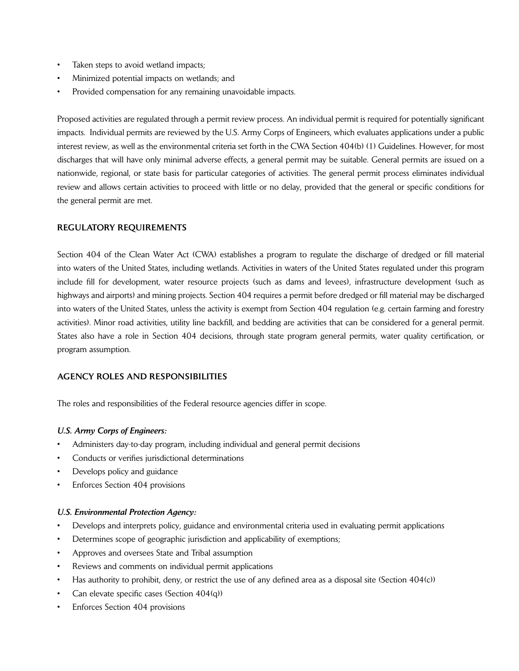- Taken steps to avoid wetland impacts;
- Minimized potential impacts on wetlands; and
- Provided compensation for any remaining unavoidable impacts.

Proposed activities are regulated through a permit review process. An individual permit is required for potentially significant impacts. Individual permits are reviewed by the U.S. Army Corps of Engineers, which evaluates applications under a public interest review, as well as the environmental criteria set forth in the CWA Section 404(b) (1) Guidelines. However, for most discharges that will have only minimal adverse effects, a general permit may be suitable. General permits are issued on a nationwide, regional, or state basis for particular categories of activities. The general permit process eliminates individual review and allows certain activities to proceed with little or no delay, provided that the general or specific conditions for the general permit are met.

#### REGULATORY REQUIREMENTS

Section 404 of the Clean Water Act (CWA) establishes a program to regulate the discharge of dredged or fill material into waters of the United States, including wetlands. Activities in waters of the United States regulated under this program include fill for development, water resource projects (such as dams and levees), infrastructure development (such as highways and airports) and mining projects. Section 404 requires a permit before dredged or fill material may be discharged into waters of the United States, unless the activity is exempt from Section 404 regulation (e.g. certain farming and forestry activities). Minor road activities, utility line backfill, and bedding are activities that can be considered for a general permit. States also have a role in Section 404 decisions, through state program general permits, water quality certification, or program assumption.

#### AGENCY ROLES AND RESPONSIBILITIES

The roles and responsibilities of the Federal resource agencies differ in scope.

#### *U.S. Army Corps of Engineers:*

- Administers day-to-day program, including individual and general permit decisions
- Conducts or verifies jurisdictional determinations
- Develops policy and guidance
- Enforces Section 404 provisions

#### *U.S. Environmental Protection Agency:*

- Develops and interprets policy, guidance and environmental criteria used in evaluating permit applications
- Determines scope of geographic jurisdiction and applicability of exemptions;
- Approves and oversees State and Tribal assumption
- Reviews and comments on individual permit applications
- Has authority to prohibit, deny, or restrict the use of any defined area as a disposal site (Section 404(c))
- Can elevate specific cases (Section  $404(q)$ )
- Enforces Section 404 provisions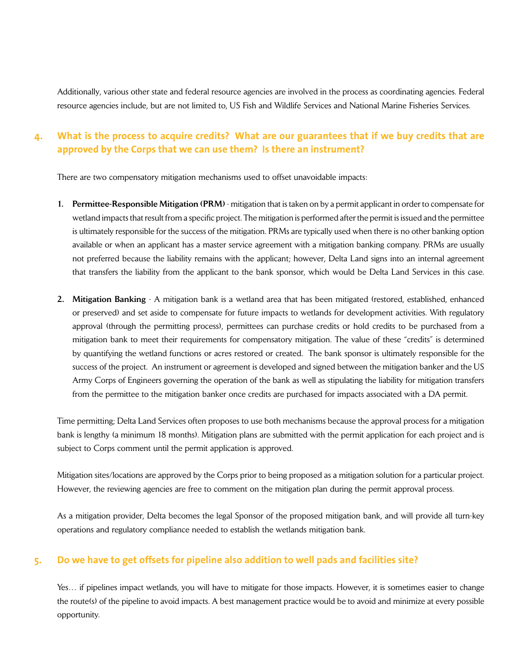Additionally, various other state and federal resource agencies are involved in the process as coordinating agencies. Federal resource agencies include, but are not limited to, US Fish and Wildlife Services and National Marine Fisheries Services.

## 4. What is the process to acquire credits? What are our guarantees that if we buy credits that are **approved by the Corps that we can use them? Is there an instrument?**

There are two compensatory mitigation mechanisms used to offset unavoidable impacts:

- 1. Permittee-Responsible Mitigation (PRM) mitigation that is taken on by a permit applicant in order to compensate for wetland impacts that result from a specific project. The mitigation is performed after the permit is issued and the permittee is ultimately responsible for the success of the mitigation. PRMs are typically used when there is no other banking option available or when an applicant has a master service agreement with a mitigation banking company. PRMs are usually not preferred because the liability remains with the applicant; however, Delta Land signs into an internal agreement that transfers the liability from the applicant to the bank sponsor, which would be Delta Land Services in this case.
- 2. Mitigation Banking A mitigation bank is a wetland area that has been mitigated (restored, established, enhanced or preserved) and set aside to compensate for future impacts to wetlands for development activities. With regulatory approval (through the permitting process), permittees can purchase credits or hold credits to be purchased from a mitigation bank to meet their requirements for compensatory mitigation. The value of these "credits" is determined by quantifying the wetland functions or acres restored or created. The bank sponsor is ultimately responsible for the success of the project. An instrument or agreement is developed and signed between the mitigation banker and the US Army Corps of Engineers governing the operation of the bank as well as stipulating the liability for mitigation transfers from the permittee to the mitigation banker once credits are purchased for impacts associated with a DA permit.

Time permitting; Delta Land Services often proposes to use both mechanisms because the approval process for a mitigation bank is lengthy (a minimum 18 months). Mitigation plans are submitted with the permit application for each project and is subject to Corps comment until the permit application is approved.

Mitigation sites/locations are approved by the Corps prior to being proposed as a mitigation solution for a particular project. However, the reviewing agencies are free to comment on the mitigation plan during the permit approval process.

As a mitigation provider, Delta becomes the legal Sponsor of the proposed mitigation bank, and will provide all turn-key operations and regulatory compliance needed to establish the wetlands mitigation bank.

### **5. Do we have to get offsets for pipeline also addition to well pads and facilities site?**

Yes… if pipelines impact wetlands, you will have to mitigate for those impacts. However, it is sometimes easier to change the route(s) of the pipeline to avoid impacts. A best management practice would be to avoid and minimize at every possible opportunity.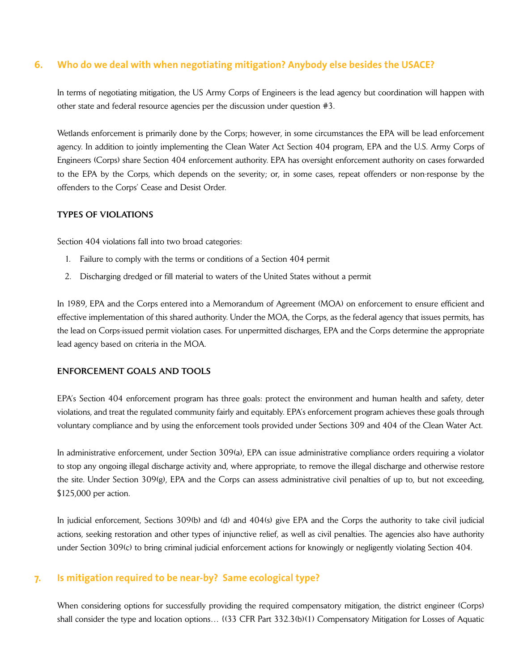### **6. Who do we deal with when negotiating mitigation? Anybody else besides the USACE?**

In terms of negotiating mitigation, the US Army Corps of Engineers is the lead agency but coordination will happen with other state and federal resource agencies per the discussion under question #3.

Wetlands enforcement is primarily done by the Corps; however, in some circumstances the EPA will be lead enforcement agency. In addition to jointly implementing the Clean Water Act Section 404 program, EPA and the U.S. Army Corps of Engineers (Corps) share Section 404 enforcement authority. EPA has oversight enforcement authority on cases forwarded to the EPA by the Corps, which depends on the severity; or, in some cases, repeat offenders or non-response by the offenders to the Corps' Cease and Desist Order.

#### TYPES OF VIOLATIONS

Section 404 violations fall into two broad categories:

- 1. Failure to comply with the terms or conditions of a Section 404 permit
- 2. Discharging dredged or fill material to waters of the United States without a permit

In 1989, EPA and the Corps entered into a Memorandum of Agreement (MOA) on enforcement to ensure efficient and effective implementation of this shared authority. Under the MOA, the Corps, as the federal agency that issues permits, has the lead on Corps-issued permit violation cases. For unpermitted discharges, EPA and the Corps determine the appropriate lead agency based on criteria in the MOA.

#### ENFORCEMENT GOALS AND TOOLS

EPA's Section 404 enforcement program has three goals: protect the environment and human health and safety, deter violations, and treat the regulated community fairly and equitably. EPA's enforcement program achieves these goals through voluntary compliance and by using the enforcement tools provided under Sections 309 and 404 of the Clean Water Act.

In administrative enforcement, under Section 309(a), EPA can issue administrative compliance orders requiring a violator to stop any ongoing illegal discharge activity and, where appropriate, to remove the illegal discharge and otherwise restore the site. Under Section 309(g), EPA and the Corps can assess administrative civil penalties of up to, but not exceeding, \$125,000 per action.

In judicial enforcement, Sections 309(b) and (d) and 404(s) give EPA and the Corps the authority to take civil judicial actions, seeking restoration and other types of injunctive relief, as well as civil penalties. The agencies also have authority under Section 309(c) to bring criminal judicial enforcement actions for knowingly or negligently violating Section 404.

### **7. Is mitigation required to be near-by? Same ecological type?**

When considering options for successfully providing the required compensatory mitigation, the district engineer (Corps) shall consider the type and location options…  $\{(33 \text{ CFR Part } 332.3(b)(1) \text{ Compensatory Mitigation for Losses of Aquatic})\}$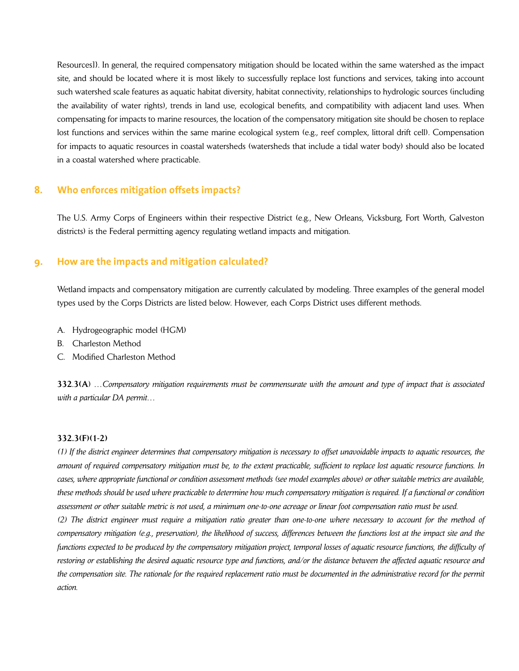Resources]}. In general, the required compensatory mitigation should be located within the same watershed as the impact site, and should be located where it is most likely to successfully replace lost functions and services, taking into account such watershed scale features as aquatic habitat diversity, habitat connectivity, relationships to hydrologic sources (including the availability of water rights), trends in land use, ecological benefits, and compatibility with adjacent land uses. When compensating for impacts to marine resources, the location of the compensatory mitigation site should be chosen to replace lost functions and services within the same marine ecological system (e.g., reef complex, littoral drift cell). Compensation for impacts to aquatic resources in coastal watersheds (watersheds that include a tidal water body) should also be located in a coastal watershed where practicable.

#### **8. Who enforces mitigation offsets impacts?**

The U.S. Army Corps of Engineers within their respective District (e.g., New Orleans, Vicksburg, Fort Worth, Galveston districts) is the Federal permitting agency regulating wetland impacts and mitigation.

### **9. How are the impacts and mitigation calculated?**

Wetland impacts and compensatory mitigation are currently calculated by modeling. Three examples of the general model types used by the Corps Districts are listed below. However, each Corps District uses different methods.

- A. Hydrogeographic model (HGM)
- B. Charleston Method
- C. Modified Charleston Method

332.3(A) ...Compensatory mitigation requirements must be commensurate with the amount and type of impact that is associated *with a particular DA permit…*

#### 332.3(F)(1-2)

(1) If the district engineer determines that compensatory mitigation is necessary to offset unavoidable impacts to aquatic resources, the amount of required compensatory mitigation must be, to the extent practicable, sufficient to replace lost aquatic resource functions. In cases, where appropriate functional or condition assessment methods (see model examples above) or other suitable metrics are available, these methods should be used where practicable to determine how much compensatory mitigation is required. If a functional or condition assessment or other suitable metric is not used, a minimum one-to-one acreage or linear foot compensation ratio must be used.

(2) The district engineer must require a mitigation ratio greater than one-to-one where necessary to account for the method of compensatory mitigation (e.g., preservation), the likelihood of success, differences between the functions lost at the impact site and the functions expected to be produced by the compensatory mitigation project, temporal losses of aquatic resource functions, the difficulty of restoring or establishing the desired aquatic resource type and functions, and/or the distance between the affected aquatic resource and the compensation site. The rationale for the required replacement ratio must be documented in the administrative record for the permit *action.*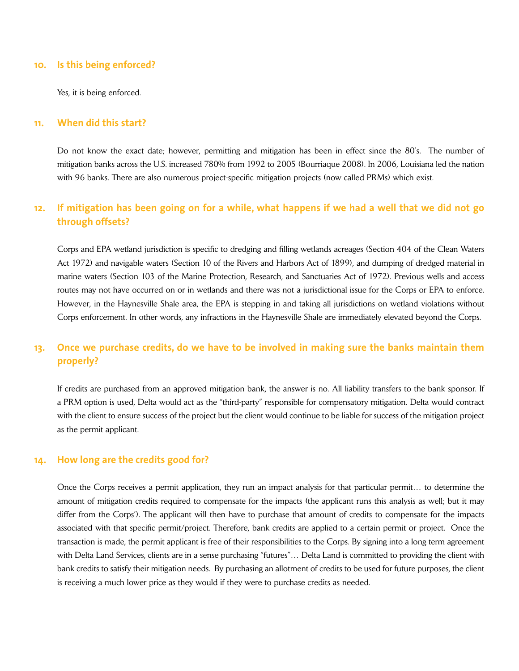#### **10. Is this being enforced?**

Yes, it is being enforced.

#### **11. When did this start?**

Do not know the exact date; however, permitting and mitigation has been in effect since the 80's. The number of mitigation banks across the U.S. increased 780% from 1992 to 2005 (Bourriaque 2008). In 2006, Louisiana led the nation with 96 banks. There are also numerous project-specific mitigation projects (now called PRMs) which exist.

## 12. If mitigation has been going on for a while, what happens if we had a well that we did not go **through offsets?**

Corps and EPA wetland jurisdiction is specific to dredging and filling wetlands acreages (Section 404 of the Clean Waters Act 1972) and navigable waters (Section 10 of the Rivers and Harbors Act of 1899), and dumping of dredged material in marine waters (Section 103 of the Marine Protection, Research, and Sanctuaries Act of 1972). Previous wells and access routes may not have occurred on or in wetlands and there was not a jurisdictional issue for the Corps or EPA to enforce. However, in the Haynesville Shale area, the EPA is stepping in and taking all jurisdictions on wetland violations without Corps enforcement. In other words, any infractions in the Haynesville Shale are immediately elevated beyond the Corps.

### **13. Once we purchase credits, do we have to be involved in making sure the banks maintain them properly?**

If credits are purchased from an approved mitigation bank, the answer is no. All liability transfers to the bank sponsor. If a PRM option is used, Delta would act as the "third-party" responsible for compensatory mitigation. Delta would contract with the client to ensure success of the project but the client would continue to be liable for success of the mitigation project as the permit applicant.

#### **14. How long are the credits good for?**

Once the Corps receives a permit application, they run an impact analysis for that particular permit… to determine the amount of mitigation credits required to compensate for the impacts (the applicant runs this analysis as well; but it may differ from the Corps'). The applicant will then have to purchase that amount of credits to compensate for the impacts associated with that specific permit/project. Therefore, bank credits are applied to a certain permit or project. Once the transaction is made, the permit applicant is free of their responsibilities to the Corps. By signing into a long-term agreement with Delta Land Services, clients are in a sense purchasing "futures"… Delta Land is committed to providing the client with bank credits to satisfy their mitigation needs. By purchasing an allotment of credits to be used for future purposes, the client is receiving a much lower price as they would if they were to purchase credits as needed.